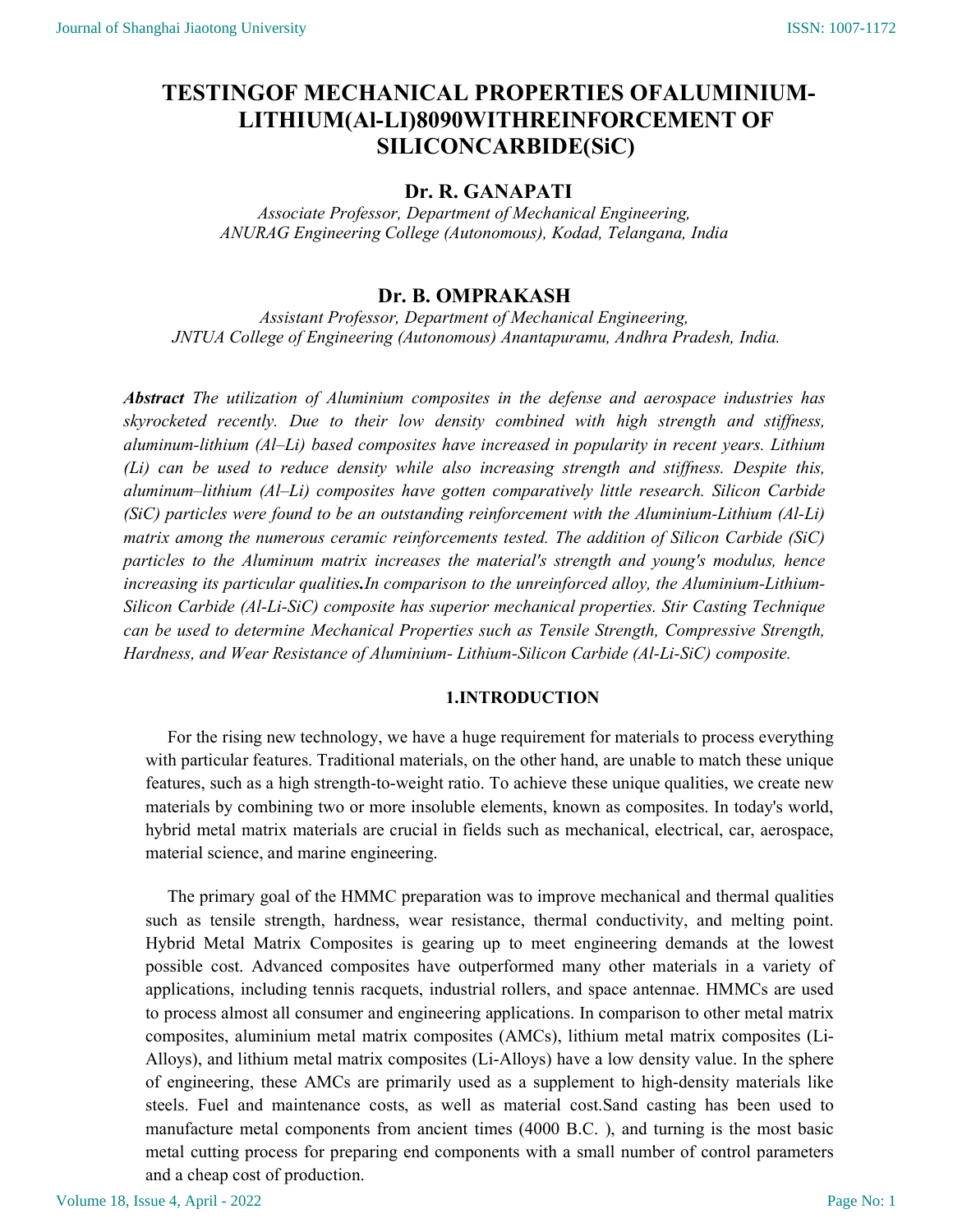# TESTINGOF MECHANICAL PROPERTIES OFALUMINIUM-LITHIUM(Al-LI)8090WITHREINFORCEMENT OF SILICONCARBIDE(SiC)

## Dr. R. GANAPATI

Associate Professor, Department of Mechanical Engineering, ANURAG Engineering College (Autonomous), Kodad, Telangana, India

## Dr. B. OMPRAKASH

Assistant Professor, Department of Mechanical Engineering, JNTUA College of Engineering (Autonomous) Anantapuramu, Andhra Pradesh, India.

Abstract The utilization of Aluminium composites in the defense and aerospace industries has skyrocketed recently. Due to their low density combined with high strength and stiffness, aluminum-lithium (Al–Li) based composites have increased in popularity in recent years. Lithium (Li) can be used to reduce density while also increasing strength and stiffness. Despite this, aluminum–lithium (Al–Li) composites have gotten comparatively little research. Silicon Carbide (SiC) particles were found to be an outstanding reinforcement with the Aluminium-Lithium (Al-Li) matrix among the numerous ceramic reinforcements tested. The addition of Silicon Carbide (SiC) particles to the Aluminum matrix increases the material's strength and young's modulus, hence increasing its particular qualities.In comparison to the unreinforced alloy, the Aluminium-Lithium-Silicon Carbide (Al-Li-SiC) composite has superior mechanical properties. Stir Casting Technique can be used to determine Mechanical Properties such as Tensile Strength, Compressive Strength, Hardness, and Wear Resistance of Aluminium- Lithium-Silicon Carbide (Al-Li-SiC) composite.

#### 1.INTRODUCTION

For the rising new technology, we have a huge requirement for materials to process everything with particular features. Traditional materials, on the other hand, are unable to match these unique features, such as a high strength-to-weight ratio. To achieve these unique qualities, we create new materials by combining two or more insoluble elements, known as composites. In today's world, hybrid metal matrix materials are crucial in fields such as mechanical, electrical, car, aerospace, material science, and marine engineering.

The primary goal of the HMMC preparation was to improve mechanical and thermal qualities such as tensile strength, hardness, wear resistance, thermal conductivity, and melting point. Hybrid Metal Matrix Composites is gearing up to meet engineering demands at the lowest possible cost. Advanced composites have outperformed many other materials in a variety of applications, including tennis racquets, industrial rollers, and space antennae. HMMCs are used to process almost all consumer and engineering applications. In comparison to other metal matrix composites, aluminium metal matrix composites (AMCs), lithium metal matrix composites (Li-Alloys), and lithium metal matrix composites (Li-Alloys) have a low density value. In the sphere of engineering, these AMCs are primarily used as a supplement to high-density materials like steels. Fuel and maintenance costs, as well as material cost.Sand casting has been used to manufacture metal components from ancient times (4000 B.C. ), and turning is the most basic metal cutting process for preparing end components with a small number of control parameters and a cheap cost of production.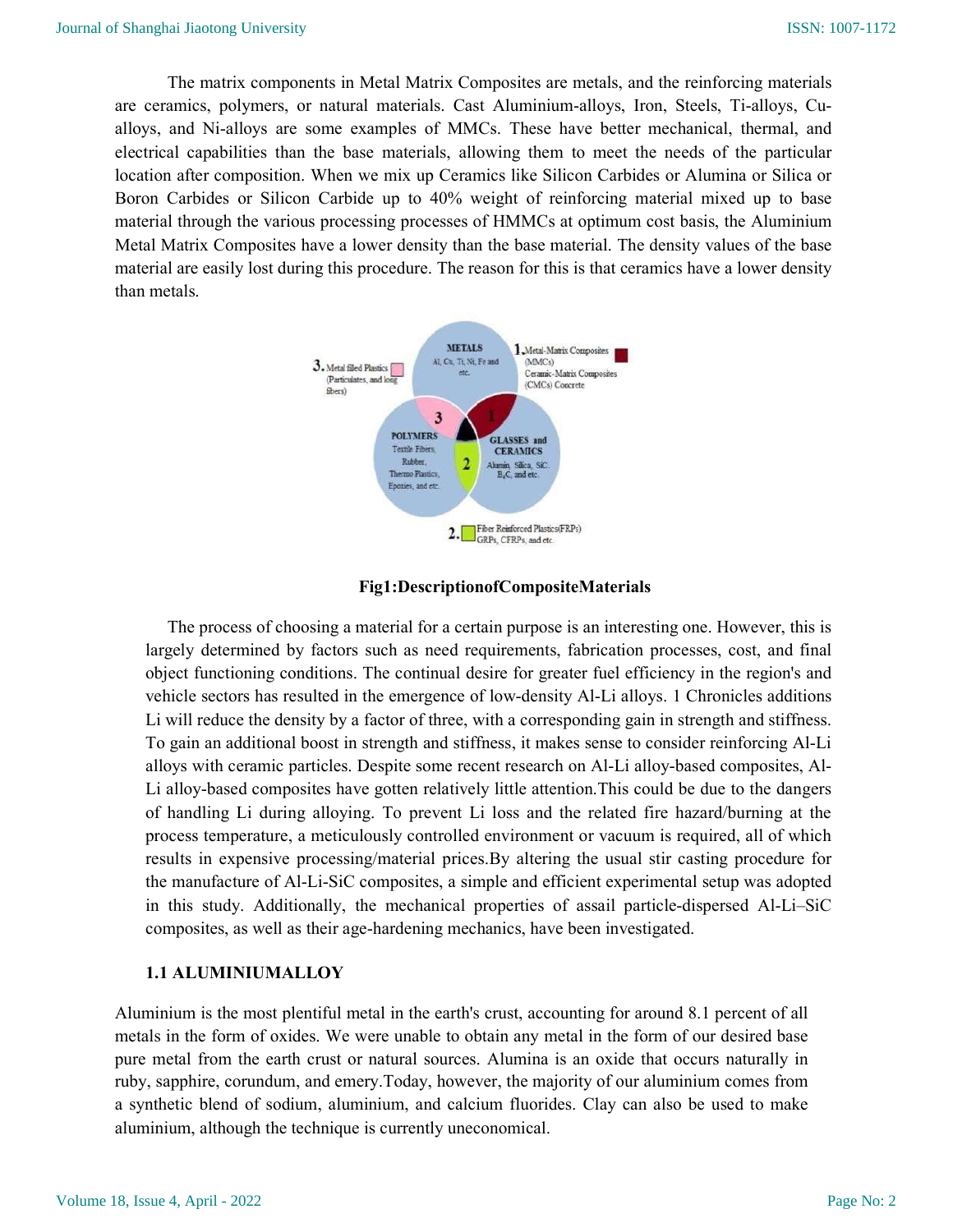The matrix components in Metal Matrix Composites are metals, and the reinforcing materials are ceramics, polymers, or natural materials. Cast Aluminium-alloys, Iron, Steels, Ti-alloys, Cualloys, and Ni-alloys are some examples of MMCs. These have better mechanical, thermal, and electrical capabilities than the base materials, allowing them to meet the needs of the particular location after composition. When we mix up Ceramics like Silicon Carbides or Alumina or Silica or Boron Carbides or Silicon Carbide up to 40% weight of reinforcing material mixed up to base material through the various processing processes of HMMCs at optimum cost basis, the Aluminium Metal Matrix Composites have a lower density than the base material. The density values of the base material are easily lost during this procedure. The reason for this is that ceramics have a lower density than metals.



#### Fig1:DescriptionofCompositeMaterials

The process of choosing a material for a certain purpose is an interesting one. However, this is largely determined by factors such as need requirements, fabrication processes, cost, and final object functioning conditions. The continual desire for greater fuel efficiency in the region's and vehicle sectors has resulted in the emergence of low-density Al-Li alloys. 1 Chronicles additions Li will reduce the density by a factor of three, with a corresponding gain in strength and stiffness. To gain an additional boost in strength and stiffness, it makes sense to consider reinforcing Al-Li alloys with ceramic particles. Despite some recent research on Al-Li alloy-based composites, Al-Li alloy-based composites have gotten relatively little attention.This could be due to the dangers of handling Li during alloying. To prevent Li loss and the related fire hazard/burning at the process temperature, a meticulously controlled environment or vacuum is required, all of which results in expensive processing/material prices.By altering the usual stir casting procedure for the manufacture of Al-Li-SiC composites, a simple and efficient experimental setup was adopted in this study. Additionally, the mechanical properties of assail particle-dispersed Al-Li–SiC composites, as well as their age-hardening mechanics, have been investigated.

#### 1.1 ALUMINIUMALLOY

Aluminium is the most plentiful metal in the earth's crust, accounting for around 8.1 percent of all metals in the form of oxides. We were unable to obtain any metal in the form of our desired base pure metal from the earth crust or natural sources. Alumina is an oxide that occurs naturally in ruby, sapphire, corundum, and emery.Today, however, the majority of our aluminium comes from a synthetic blend of sodium, aluminium, and calcium fluorides. Clay can also be used to make aluminium, although the technique is currently uneconomical.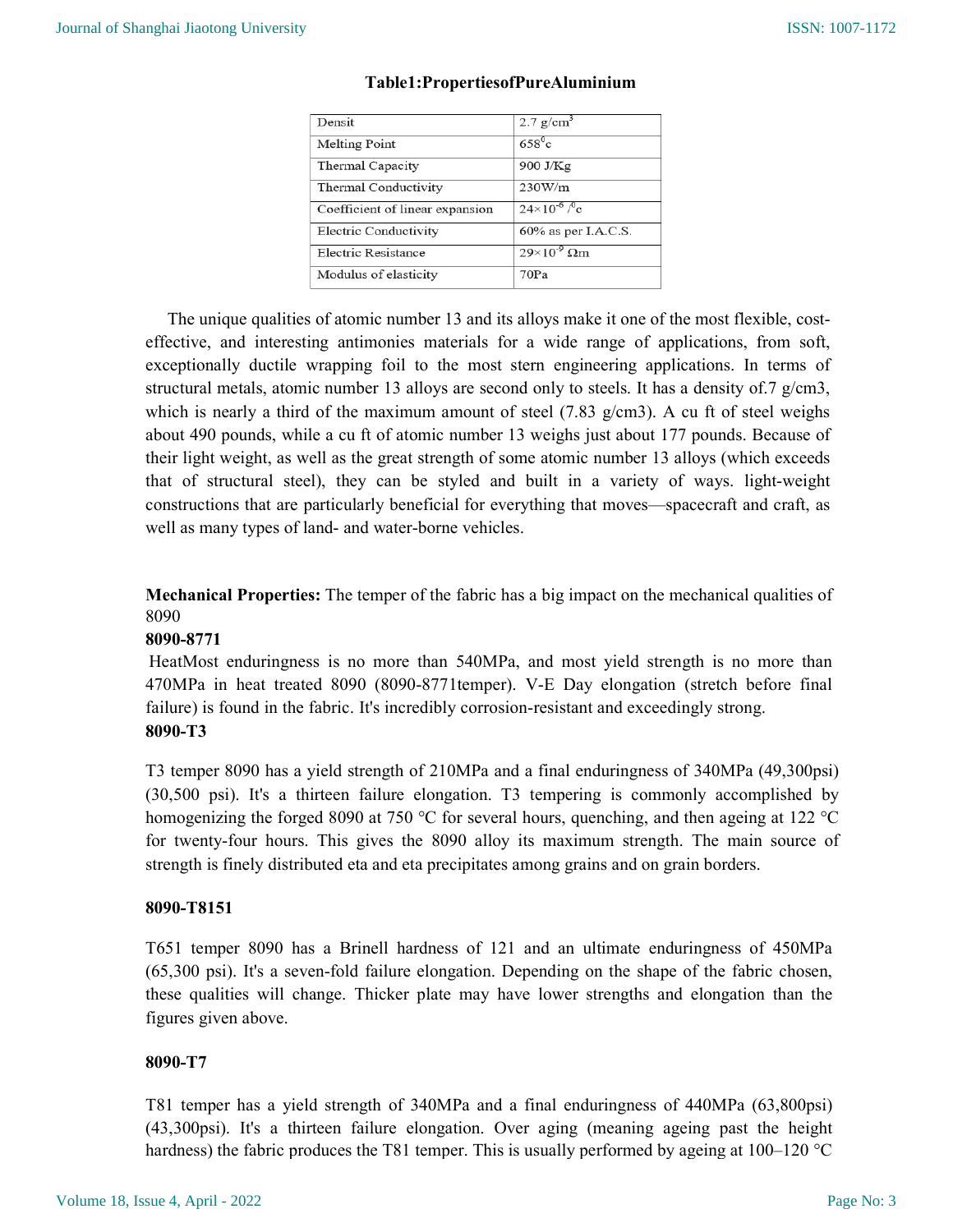| Densit                          | $2.7$ g/cm <sup>3</sup>          |
|---------------------------------|----------------------------------|
| <b>Melting Point</b>            | $658^{\circ}$ c                  |
| Thermal Capacity                | 900 J/Kg                         |
| Thermal Conductivity            | 230W/m                           |
| Coefficient of linear expansion | $24\times10^{-6}$ / $^{\circ}$ c |
| Electric Conductivity           | 60% as per I.A.C.S.              |
| Electric Resistance             | $29\times10^{-9}$ Qm             |
| Modulus of elasticity           | 70Pa                             |

#### Table1:PropertiesofPureAluminium

The unique qualities of atomic number 13 and its alloys make it one of the most flexible, costeffective, and interesting antimonies materials for a wide range of applications, from soft, exceptionally ductile wrapping foil to the most stern engineering applications. In terms of structural metals, atomic number 13 alloys are second only to steels. It has a density of  $7 \text{ g/cm}$ 3, which is nearly a third of the maximum amount of steel  $(7.83 \text{ g/cm3})$ . A cu ft of steel weighs about 490 pounds, while a cu ft of atomic number 13 weighs just about 177 pounds. Because of their light weight, as well as the great strength of some atomic number 13 alloys (which exceeds that of structural steel), they can be styled and built in a variety of ways. light-weight constructions that are particularly beneficial for everything that moves—spacecraft and craft, as well as many types of land- and water-borne vehicles.

Mechanical Properties: The temper of the fabric has a big impact on the mechanical qualities of 8090

## 8090-8771

HeatMost enduringness is no more than 540MPa, and most yield strength is no more than 470MPa in heat treated 8090 (8090-8771temper). V-E Day elongation (stretch before final failure) is found in the fabric. It's incredibly corrosion-resistant and exceedingly strong. 8090-T3

T3 temper 8090 has a yield strength of 210MPa and a final enduringness of 340MPa (49,300psi) (30,500 psi). It's a thirteen failure elongation. T3 tempering is commonly accomplished by homogenizing the forged 8090 at 750 °C for several hours, quenching, and then ageing at 122 °C for twenty-four hours. This gives the 8090 alloy its maximum strength. The main source of strength is finely distributed eta and eta precipitates among grains and on grain borders.

## 8090-T8151

T651 temper 8090 has a Brinell hardness of 121 and an ultimate enduringness of 450MPa (65,300 psi). It's a seven-fold failure elongation. Depending on the shape of the fabric chosen, these qualities will change. Thicker plate may have lower strengths and elongation than the figures given above.

## 8090-T7

T81 temper has a yield strength of 340MPa and a final enduringness of 440MPa (63,800psi) (43,300psi). It's a thirteen failure elongation. Over aging (meaning ageing past the height hardness) the fabric produces the T81 temper. This is usually performed by ageing at 100–120 °C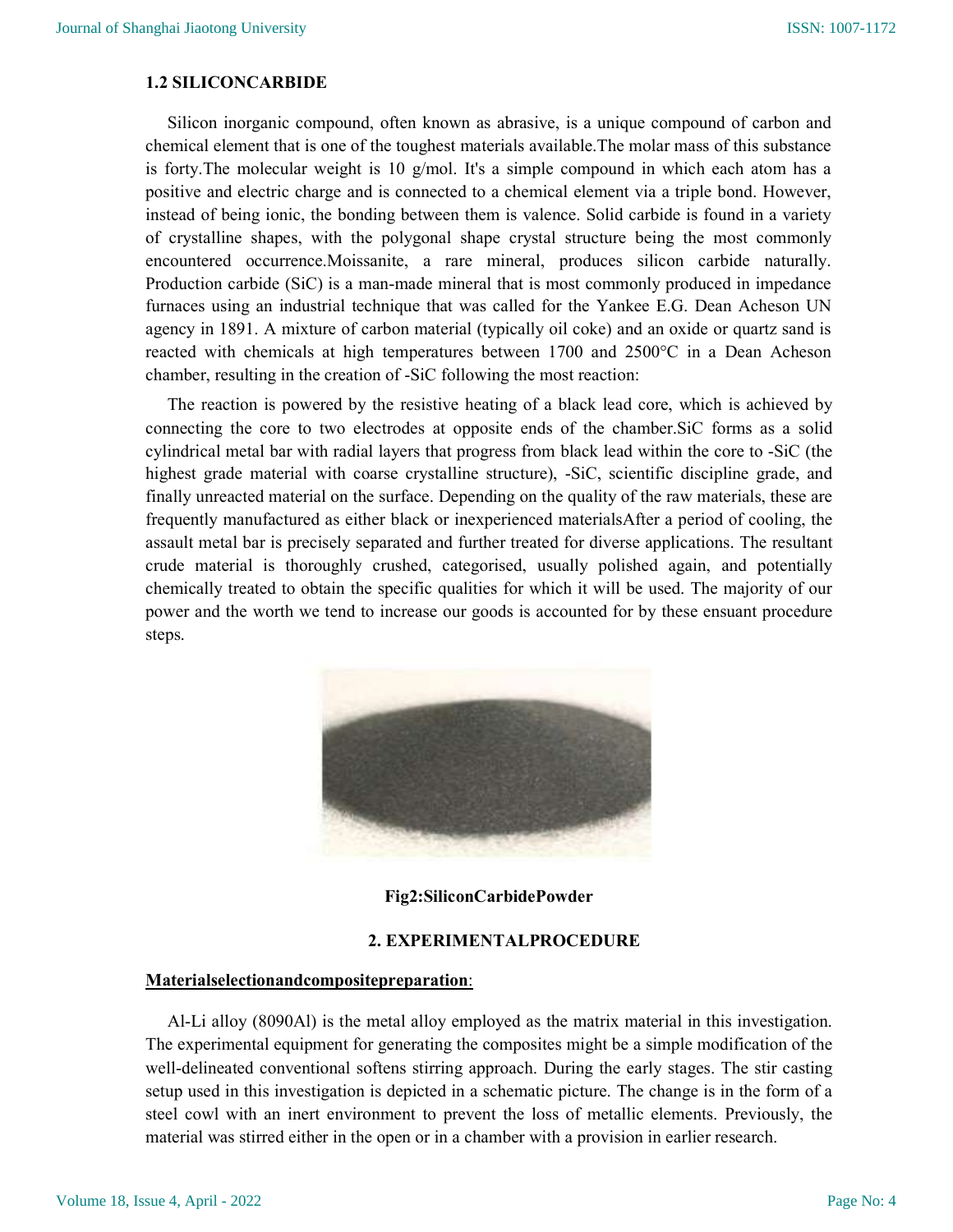#### 1.2 SILICONCARBIDE

Silicon inorganic compound, often known as abrasive, is a unique compound of carbon and chemical element that is one of the toughest materials available.The molar mass of this substance is forty. The molecular weight is 10  $g/mol$ . It's a simple compound in which each atom has a positive and electric charge and is connected to a chemical element via a triple bond. However, instead of being ionic, the bonding between them is valence. Solid carbide is found in a variety of crystalline shapes, with the polygonal shape crystal structure being the most commonly encountered occurrence.Moissanite, a rare mineral, produces silicon carbide naturally. Production carbide (SiC) is a man-made mineral that is most commonly produced in impedance furnaces using an industrial technique that was called for the Yankee E.G. Dean Acheson UN agency in 1891. A mixture of carbon material (typically oil coke) and an oxide or quartz sand is reacted with chemicals at high temperatures between 1700 and 2500°C in a Dean Acheson chamber, resulting in the creation of -SiC following the most reaction:

 The reaction is powered by the resistive heating of a black lead core, which is achieved by connecting the core to two electrodes at opposite ends of the chamber.SiC forms as a solid cylindrical metal bar with radial layers that progress from black lead within the core to -SiC (the highest grade material with coarse crystalline structure), -SiC, scientific discipline grade, and finally unreacted material on the surface. Depending on the quality of the raw materials, these are frequently manufactured as either black or inexperienced materialsAfter a period of cooling, the assault metal bar is precisely separated and further treated for diverse applications. The resultant crude material is thoroughly crushed, categorised, usually polished again, and potentially chemically treated to obtain the specific qualities for which it will be used. The majority of our power and the worth we tend to increase our goods is accounted for by these ensuant procedure steps.



Fig2:SiliconCarbidePowder

### 2. EXPERIMENTALPROCEDURE

#### Materialselectionandcompositepreparation:

 Al-Li alloy (8090Al) is the metal alloy employed as the matrix material in this investigation. The experimental equipment for generating the composites might be a simple modification of the well-delineated conventional softens stirring approach. During the early stages. The stir casting setup used in this investigation is depicted in a schematic picture. The change is in the form of a steel cowl with an inert environment to prevent the loss of metallic elements. Previously, the material was stirred either in the open or in a chamber with a provision in earlier research.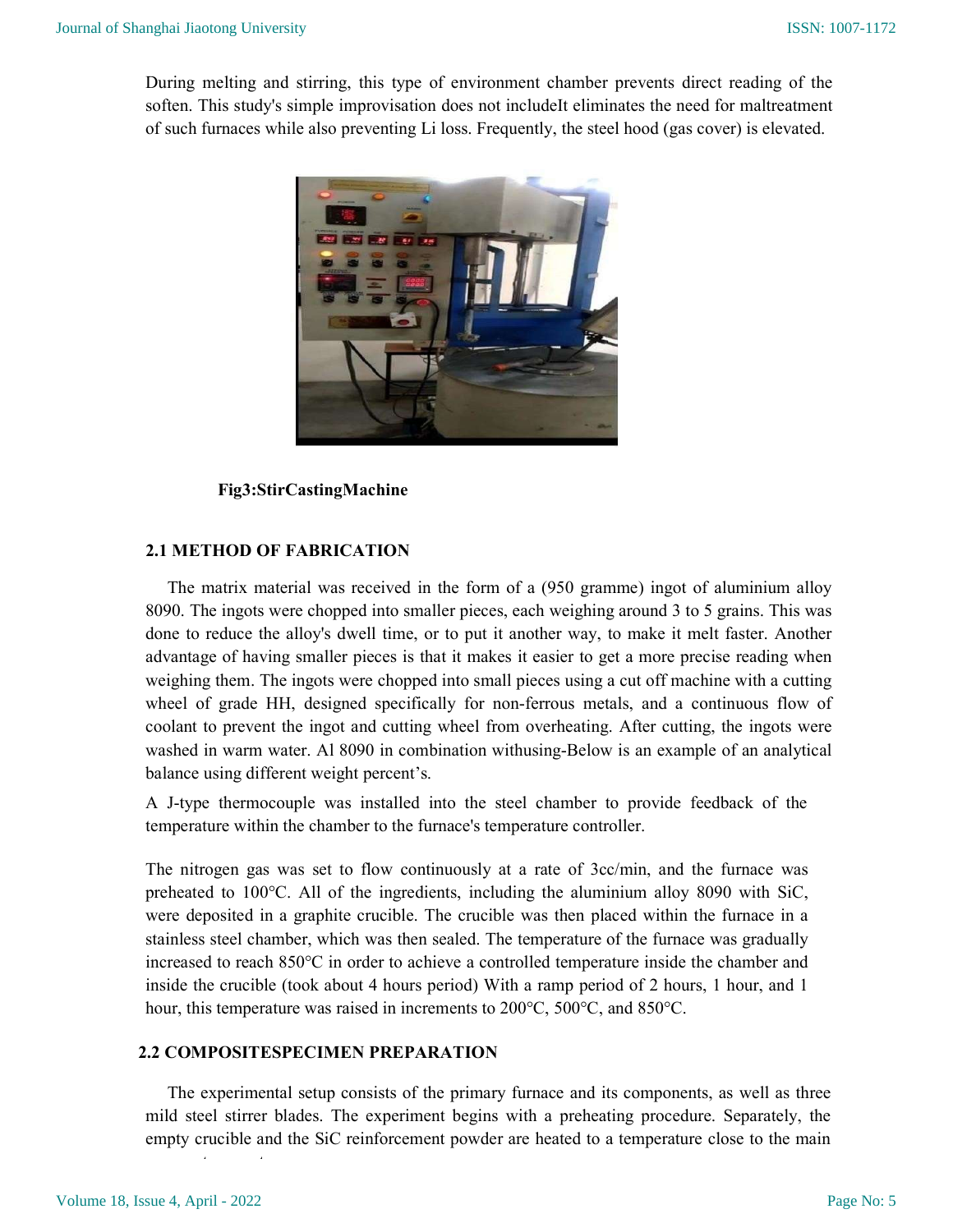During melting and stirring, this type of environment chamber prevents direct reading of the soften. This study's simple improvisation does not includeIt eliminates the need for maltreatment of such furnaces while also preventing Li loss. Frequently, the steel hood (gas cover) is elevated.



## Fig3:StirCastingMachine

## 2.1 METHOD OF FABRICATION

 The matrix material was received in the form of a (950 gramme) ingot of aluminium alloy 8090. The ingots were chopped into smaller pieces, each weighing around 3 to 5 grains. This was done to reduce the alloy's dwell time, or to put it another way, to make it melt faster. Another advantage of having smaller pieces is that it makes it easier to get a more precise reading when weighing them. The ingots were chopped into small pieces using a cut off machine with a cutting wheel of grade HH, designed specifically for non-ferrous metals, and a continuous flow of coolant to prevent the ingot and cutting wheel from overheating. After cutting, the ingots were washed in warm water. Al 8090 in combination withusing-Below is an example of an analytical balance using different weight percent's.

A J-type thermocouple was installed into the steel chamber to provide feedback of the temperature within the chamber to the furnace's temperature controller.

The nitrogen gas was set to flow continuously at a rate of 3cc/min, and the furnace was preheated to 100°C. All of the ingredients, including the aluminium alloy 8090 with SiC, were deposited in a graphite crucible. The crucible was then placed within the furnace in a stainless steel chamber, which was then sealed. The temperature of the furnace was gradually increased to reach 850°C in order to achieve a controlled temperature inside the chamber and inside the crucible (took about 4 hours period) With a ramp period of 2 hours, 1 hour, and 1 hour, this temperature was raised in increments to 200°C, 500°C, and 850°C.

## 2.2 COMPOSITESPECIMEN PREPARATION

process temperature.

 The experimental setup consists of the primary furnace and its components, as well as three mild steel stirrer blades. The experiment begins with a preheating procedure. Separately, the empty crucible and the SiC reinforcement powder are heated to a temperature close to the main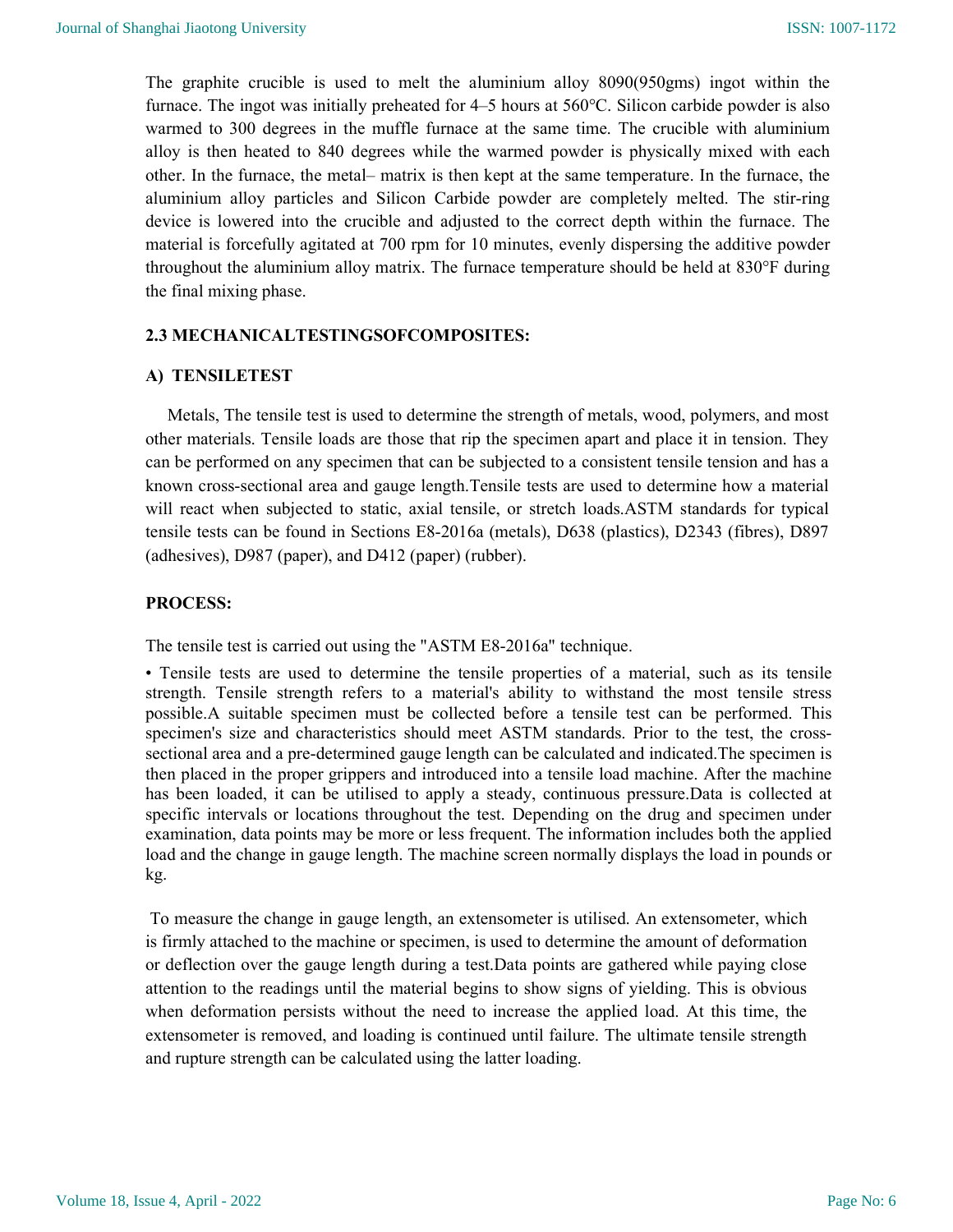The graphite crucible is used to melt the aluminium alloy 8090(950gms) ingot within the furnace. The ingot was initially preheated for 4–5 hours at 560°C. Silicon carbide powder is also warmed to 300 degrees in the muffle furnace at the same time. The crucible with aluminium alloy is then heated to 840 degrees while the warmed powder is physically mixed with each other. In the furnace, the metal– matrix is then kept at the same temperature. In the furnace, the aluminium alloy particles and Silicon Carbide powder are completely melted. The stir-ring device is lowered into the crucible and adjusted to the correct depth within the furnace. The material is forcefully agitated at 700 rpm for 10 minutes, evenly dispersing the additive powder throughout the aluminium alloy matrix. The furnace temperature should be held at 830°F during the final mixing phase.

### 2.3 MECHANICALTESTINGSOFCOMPOSITES:

### A) TENSILETEST

 Metals, The tensile test is used to determine the strength of metals, wood, polymers, and most other materials. Tensile loads are those that rip the specimen apart and place it in tension. They can be performed on any specimen that can be subjected to a consistent tensile tension and has a known cross-sectional area and gauge length.Tensile tests are used to determine how a material will react when subjected to static, axial tensile, or stretch loads.ASTM standards for typical tensile tests can be found in Sections E8-2016a (metals), D638 (plastics), D2343 (fibres), D897 (adhesives), D987 (paper), and D412 (paper) (rubber).

#### PROCESS:

The tensile test is carried out using the "ASTM E8-2016a" technique.

• Tensile tests are used to determine the tensile properties of a material, such as its tensile strength. Tensile strength refers to a material's ability to withstand the most tensile stress possible.A suitable specimen must be collected before a tensile test can be performed. This specimen's size and characteristics should meet ASTM standards. Prior to the test, the crosssectional area and a pre-determined gauge length can be calculated and indicated.The specimen is then placed in the proper grippers and introduced into a tensile load machine. After the machine has been loaded, it can be utilised to apply a steady, continuous pressure.Data is collected at specific intervals or locations throughout the test. Depending on the drug and specimen under examination, data points may be more or less frequent. The information includes both the applied load and the change in gauge length. The machine screen normally displays the load in pounds or kg.

 To measure the change in gauge length, an extensometer is utilised. An extensometer, which is firmly attached to the machine or specimen, is used to determine the amount of deformation or deflection over the gauge length during a test.Data points are gathered while paying close attention to the readings until the material begins to show signs of yielding. This is obvious when deformation persists without the need to increase the applied load. At this time, the extensometer is removed, and loading is continued until failure. The ultimate tensile strength and rupture strength can be calculated using the latter loading.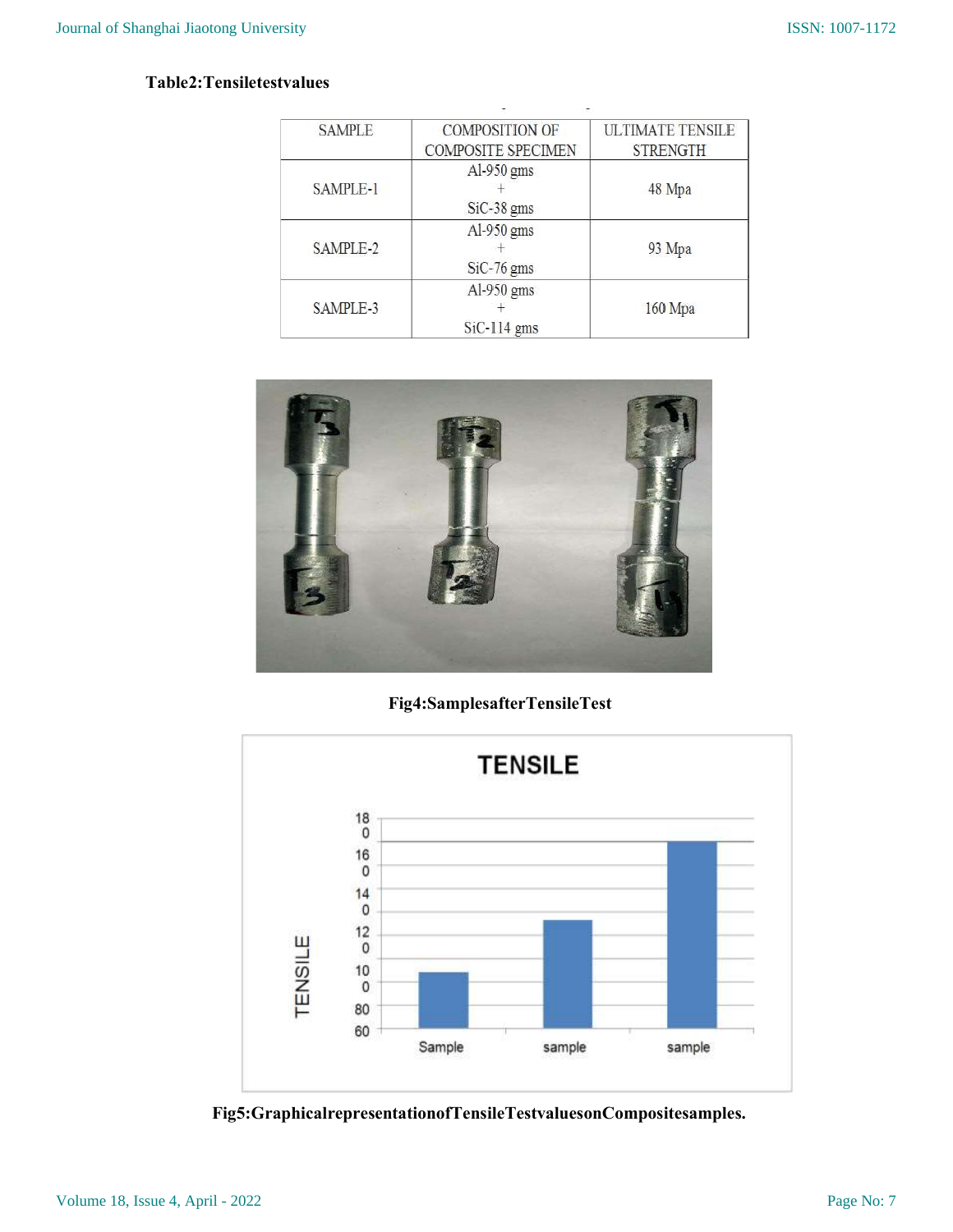## Table2:Tensiletestvalues

| <b>SAMPLE</b> | <b>COMPOSITION OF</b>                 | <b>ULTIMATE TENSILE</b> |
|---------------|---------------------------------------|-------------------------|
|               | <b>COMPOSITE SPECIMEN</b>             | <b>STRENGTH</b>         |
| SAMPLE-1      | Al-950 $gms$<br>$SiC-38$ gms          | 48 Mpa                  |
| SAMPLE-2      | Al-950 $\,\mathrm{gms}$<br>SiC-76 gms |                         |
| SAMPLE-3      | Al-950 $gms$<br>$SiC-114$ gms         | 160 Mpa                 |



## Fig4:SamplesafterTensileTest



Fig5:GraphicalrepresentationofTensileTestvaluesonCompositesamples.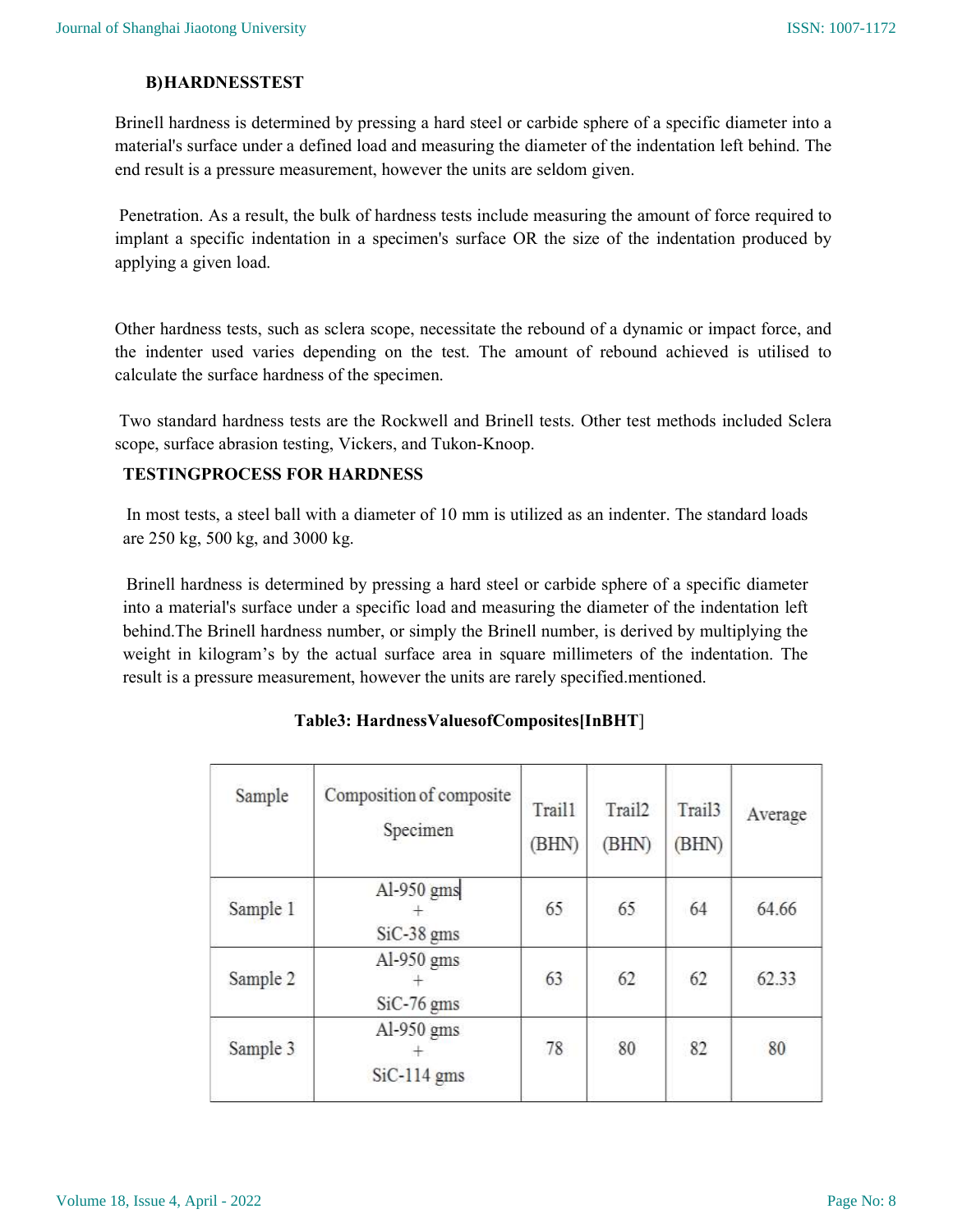## B)HARDNESSTEST

Brinell hardness is determined by pressing a hard steel or carbide sphere of a specific diameter into a material's surface under a defined load and measuring the diameter of the indentation left behind. The end result is a pressure measurement, however the units are seldom given.

 Penetration. As a result, the bulk of hardness tests include measuring the amount of force required to implant a specific indentation in a specimen's surface OR the size of the indentation produced by applying a given load.

Other hardness tests, such as sclera scope, necessitate the rebound of a dynamic or impact force, and the indenter used varies depending on the test. The amount of rebound achieved is utilised to calculate the surface hardness of the specimen.

 Two standard hardness tests are the Rockwell and Brinell tests. Other test methods included Sclera scope, surface abrasion testing, Vickers, and Tukon-Knoop.

## TESTINGPROCESS FOR HARDNESS

In most tests, a steel ball with a diameter of 10 mm is utilized as an indenter. The standard loads are 250 kg, 500 kg, and 3000 kg.

Brinell hardness is determined by pressing a hard steel or carbide sphere of a specific diameter into a material's surface under a specific load and measuring the diameter of the indentation left behind.The Brinell hardness number, or simply the Brinell number, is derived by multiplying the weight in kilogram's by the actual surface area in square millimeters of the indentation. The result is a pressure measurement, however the units are rarely specified.mentioned.

| Sample   | Composition of composite<br>Specimen   | Trail1<br>(BHN) | Trail2<br>(BHN) | Trail <sub>3</sub><br>(BHN) | Average |
|----------|----------------------------------------|-----------------|-----------------|-----------------------------|---------|
| Sample 1 | Al-950 gms<br>$SiC-38$ gms             | 65              | 65              | 64                          | 64.66   |
| Sample 2 | $Al-950$ gms<br>$SiC-76$ gms           | 63              | 62              | 62                          | 62.33   |
| Sample 3 | $Al-950$ gms<br>$\pm$<br>$SiC-114$ gms | 78              | 80              | 82                          | 80      |

## Table3: HardnessValuesofComposites[InBHT]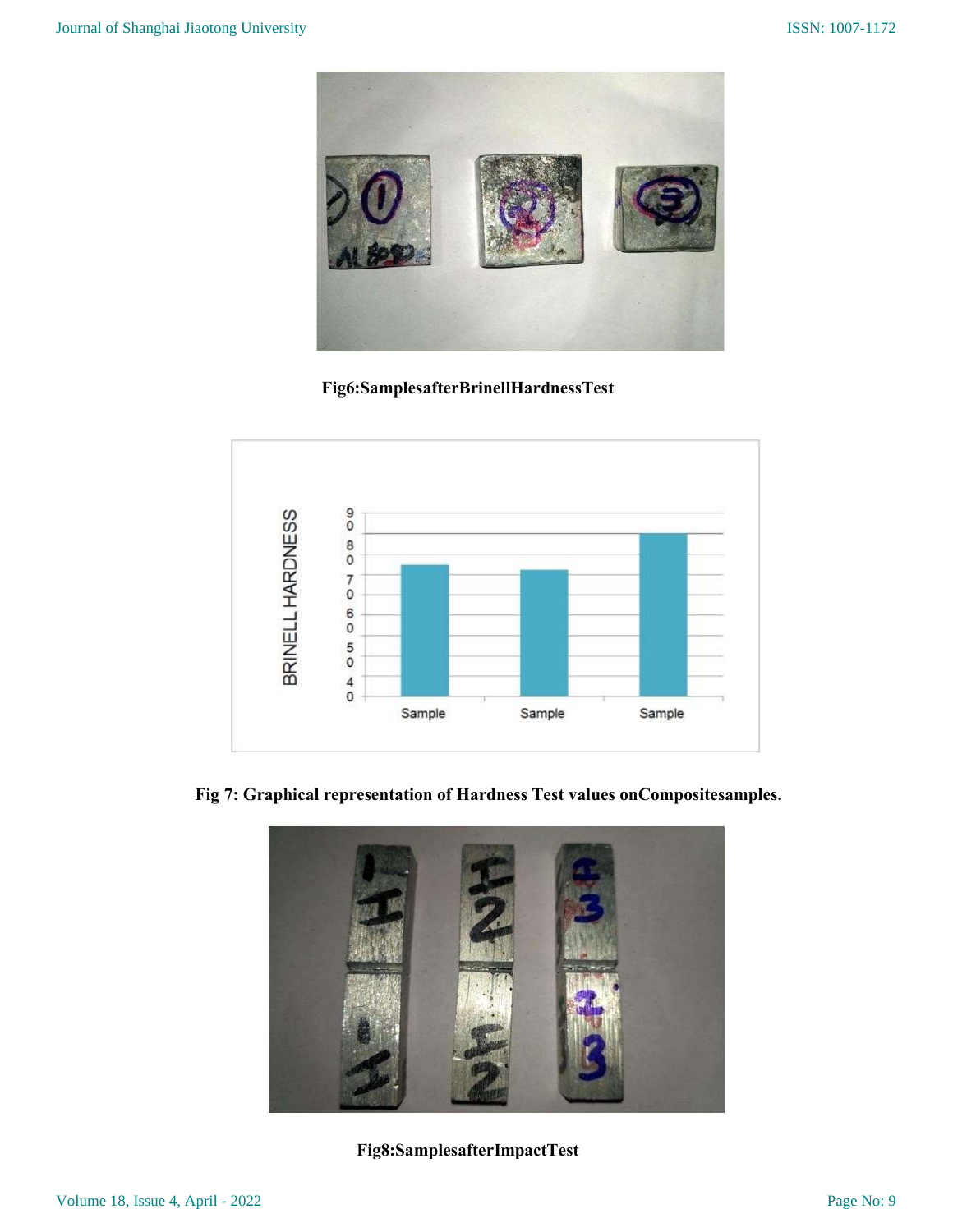

Fig6:SamplesafterBrinellHardnessTest



Fig 7: Graphical representation of Hardness Test values onCompositesamples.



Fig8:SamplesafterImpactTest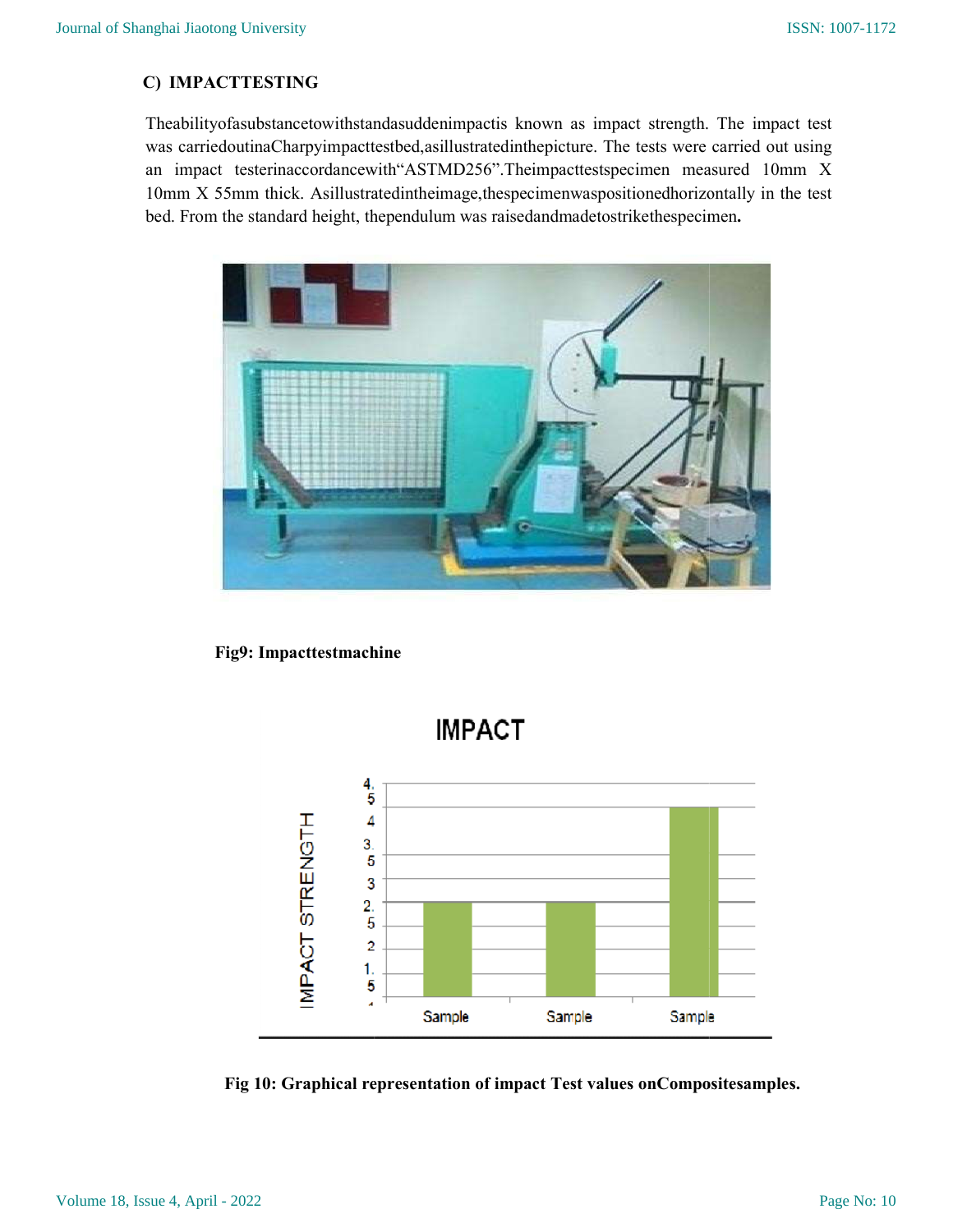## C) IMPACTTESTING

Theabilityofasubstancetowithstandasuddenimpactis known as impact strength. The impact test was carriedoutinaCharpyimpacttestbed,asillustratedinthepicture. The tests were carried out using was carriedoutinaCharpyimpacttestbed, asillustrated in the picture. The tests were carried out using<br>an impact testerinaccordancewith "ASTMD256". The impacttests pecimen measured 10mm X 10mm X 55mm thick. Asillustratedintheimage, the specimenwas positioned horizontally in the test bed. From the standard height, the pendulum was raised and made to strike the specimen. bed. From the standard height, thependulum was raisedandmadetostrikethespecimen. Theabilityofasubstancetowithstandasuddenimpactis known as impact strength. The impact test<br>was carriedoutinaCharpyimpacttestbed,asillustratedinthepicture. The tests were carried out using<br>an impact testerinaccordancewith"A .



Fig9: Impacttestmachine



Fig 10: Graphical representation of impact Test values on Compositesamples.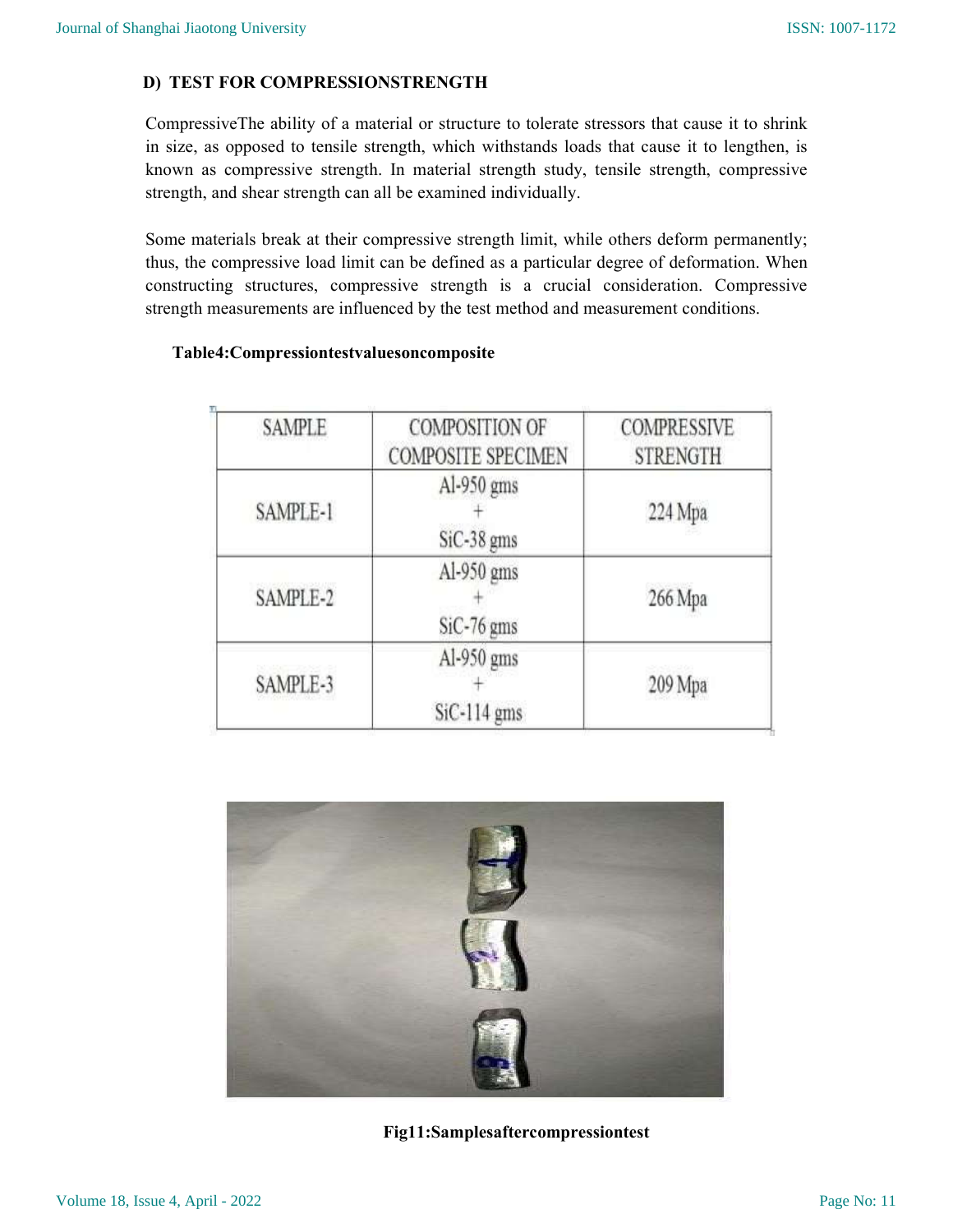## D) TEST FOR COMPRESSIONSTRENGTH

CompressiveThe ability of a material or structure to tolerate stressors that cause it to shrink in size, as opposed to tensile strength, which withstands loads that cause it to lengthen, is known as compressive strength. In material strength study, tensile strength, compressive strength, and shear strength can all be examined individually.

Some materials break at their compressive strength limit, while others deform permanently; thus, the compressive load limit can be defined as a particular degree of deformation. When constructing structures, compressive strength is a crucial consideration. Compressive strength measurements are influenced by the test method and measurement conditions.

## Table4:Compressiontestvaluesoncomposite

| <b>SAMPLE</b>                        | <b>COMPOSITION OF</b><br><b>COMPOSITE SPECIMEN</b> | <b>COMPRESSIVE</b><br><b>STRENGTH</b> |  |  |
|--------------------------------------|----------------------------------------------------|---------------------------------------|--|--|
| SAMPLE-1                             | Al-950 gms<br>SiC-38 gms                           | 224 Mpa                               |  |  |
| Al-950 gms<br>SAMPLE-2<br>SiC-76 gms |                                                    | 266 Mpa                               |  |  |
| SAMPLE-3                             | Al-950 gms<br>$SiC-114$ gms                        | 209 Mpa                               |  |  |



Fig11:Samplesaftercompressiontest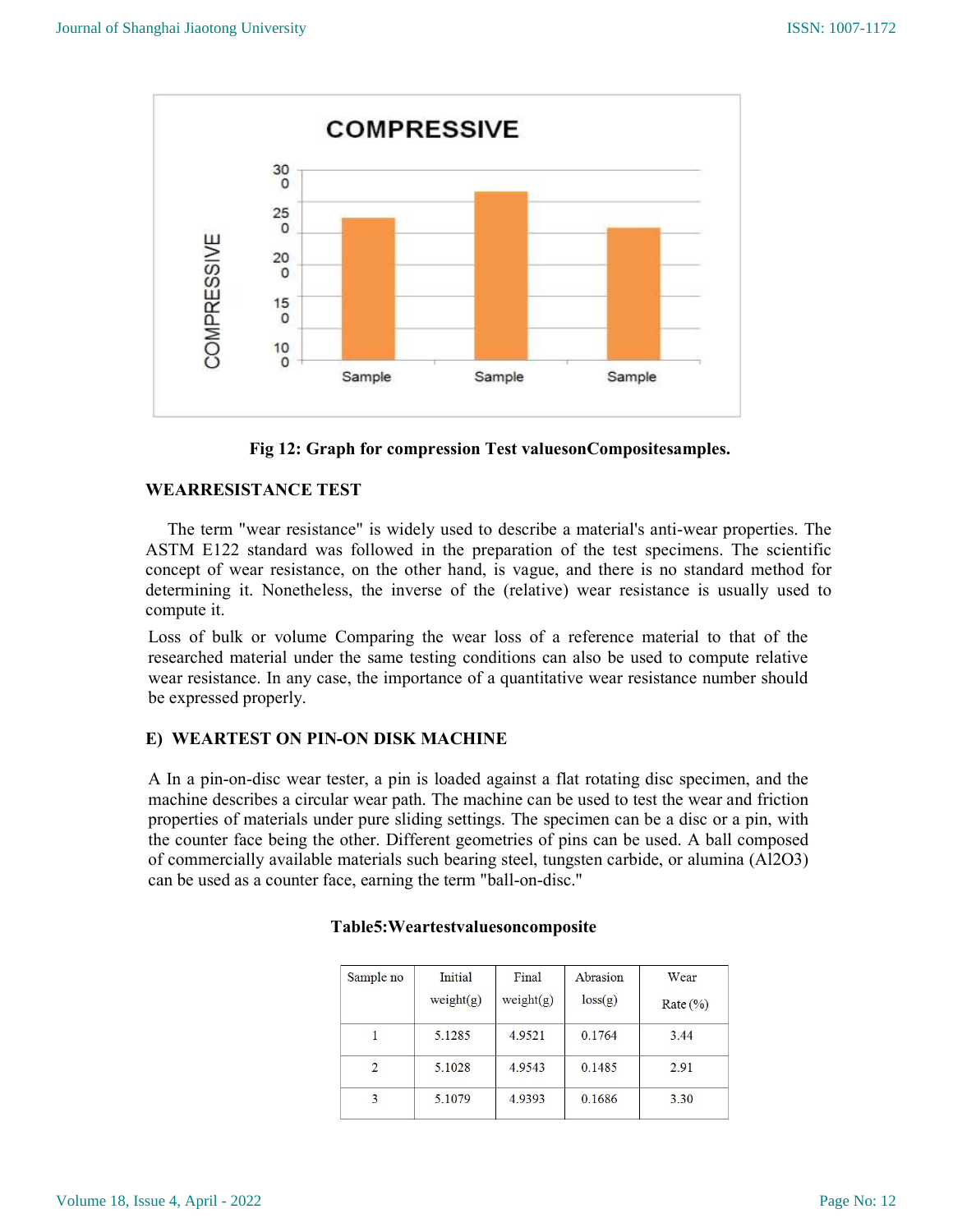

Fig 12: Graph for compression Test valuesonCompositesamples.

## WEARRESISTANCE TEST

 The term "wear resistance" is widely used to describe a material's anti-wear properties. The ASTM E122 standard was followed in the preparation of the test specimens. The scientific concept of wear resistance, on the other hand, is vague, and there is no standard method for determining it. Nonetheless, the inverse of the (relative) wear resistance is usually used to compute it.

Loss of bulk or volume Comparing the wear loss of a reference material to that of the researched material under the same testing conditions can also be used to compute relative wear resistance. In any case, the importance of a quantitative wear resistance number should be expressed properly.

## E) WEARTEST ON PIN-ON DISK MACHINE

A In a pin-on-disc wear tester, a pin is loaded against a flat rotating disc specimen, and the machine describes a circular wear path. The machine can be used to test the wear and friction properties of materials under pure sliding settings. The specimen can be a disc or a pin, with the counter face being the other. Different geometries of pins can be used. A ball composed of commercially available materials such bearing steel, tungsten carbide, or alumina (Al2O3) can be used as a counter face, earning the term "ball-on-disc."

| Sample no      | Initial<br>weight(g) | Final<br>weight(g) | Abrasion<br>loss(g) | Wear<br>Rate $(\% )$ |
|----------------|----------------------|--------------------|---------------------|----------------------|
|                | 5.1285               | 4.9521             | 0.1764              | 3.44                 |
| $\overline{2}$ | 5.1028               | 4.9543             | 0.1485              | 2.91                 |
| 3              | 5.1079               | 4.9393             | 0.1686              | 3.30                 |

## Table5:Weartestvaluesoncomposite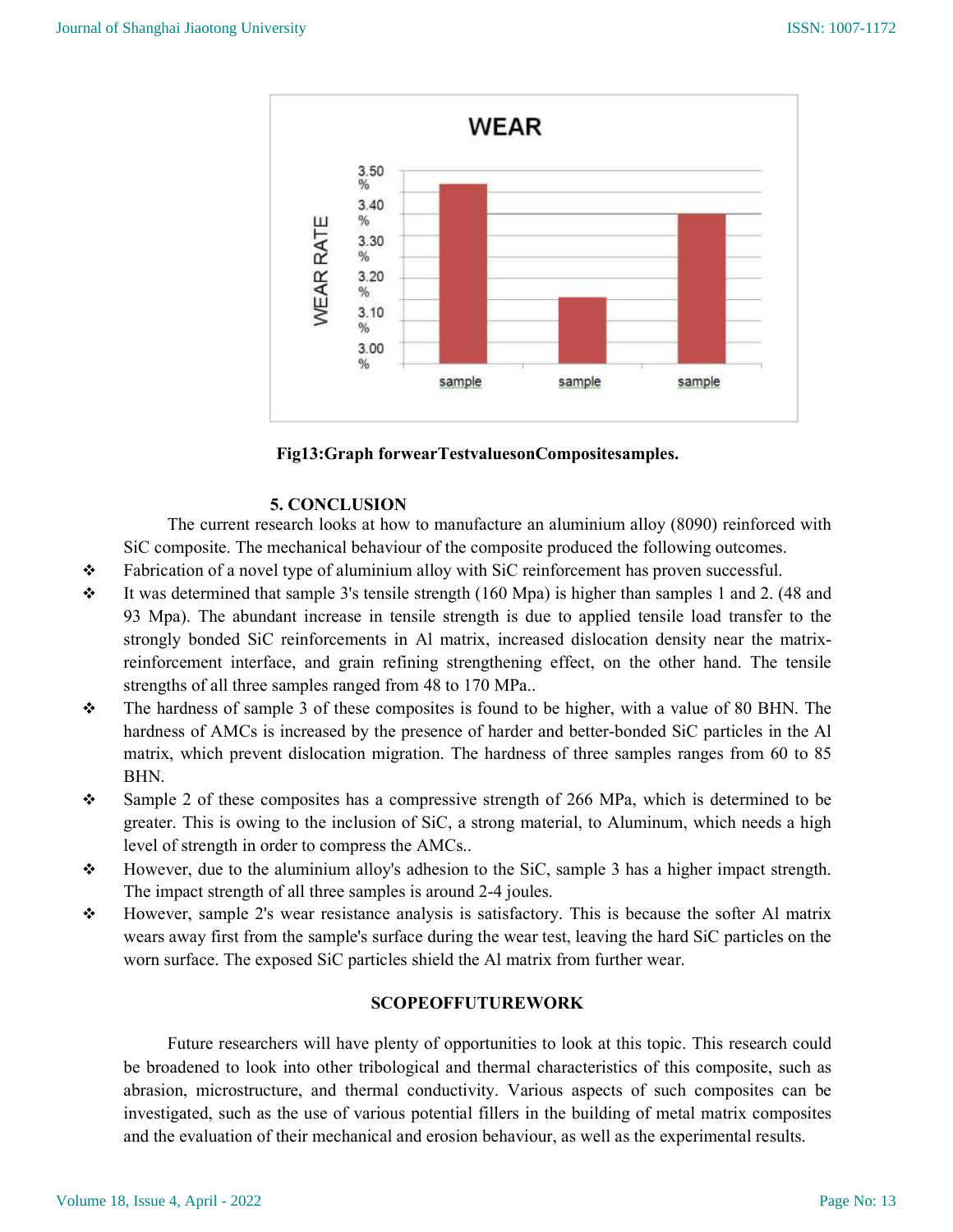



## 5. CONCLUSION

 The current research looks at how to manufacture an aluminium alloy (8090) reinforced with SiC composite. The mechanical behaviour of the composite produced the following outcomes.

- $\div$  Fabrication of a novel type of aluminium alloy with SiC reinforcement has proven successful.
- $\cdot \cdot$  It was determined that sample 3's tensile strength (160 Mpa) is higher than samples 1 and 2. (48 and 93 Mpa). The abundant increase in tensile strength is due to applied tensile load transfer to the strongly bonded SiC reinforcements in Al matrix, increased dislocation density near the matrixreinforcement interface, and grain refining strengthening effect, on the other hand. The tensile strengths of all three samples ranged from 48 to 170 MPa..
- $\div$  The hardness of sample 3 of these composites is found to be higher, with a value of 80 BHN. The hardness of AMCs is increased by the presence of harder and better-bonded SiC particles in the Al matrix, which prevent dislocation migration. The hardness of three samples ranges from 60 to 85 BHN.
- $\div$  Sample 2 of these composites has a compressive strength of 266 MPa, which is determined to be greater. This is owing to the inclusion of SiC, a strong material, to Aluminum, which needs a high level of strength in order to compress the AMCs..
- $\div$  However, due to the aluminium alloy's adhesion to the SiC, sample 3 has a higher impact strength. The impact strength of all three samples is around 2-4 joules.
- $\div$  However, sample 2's wear resistance analysis is satisfactory. This is because the softer Al matrix wears away first from the sample's surface during the wear test, leaving the hard SiC particles on the worn surface. The exposed SiC particles shield the Al matrix from further wear.

## SCOPEOFFUTUREWORK

 Future researchers will have plenty of opportunities to look at this topic. This research could be broadened to look into other tribological and thermal characteristics of this composite, such as abrasion, microstructure, and thermal conductivity. Various aspects of such composites can be investigated, such as the use of various potential fillers in the building of metal matrix composites and the evaluation of their mechanical and erosion behaviour, as well as the experimental results.